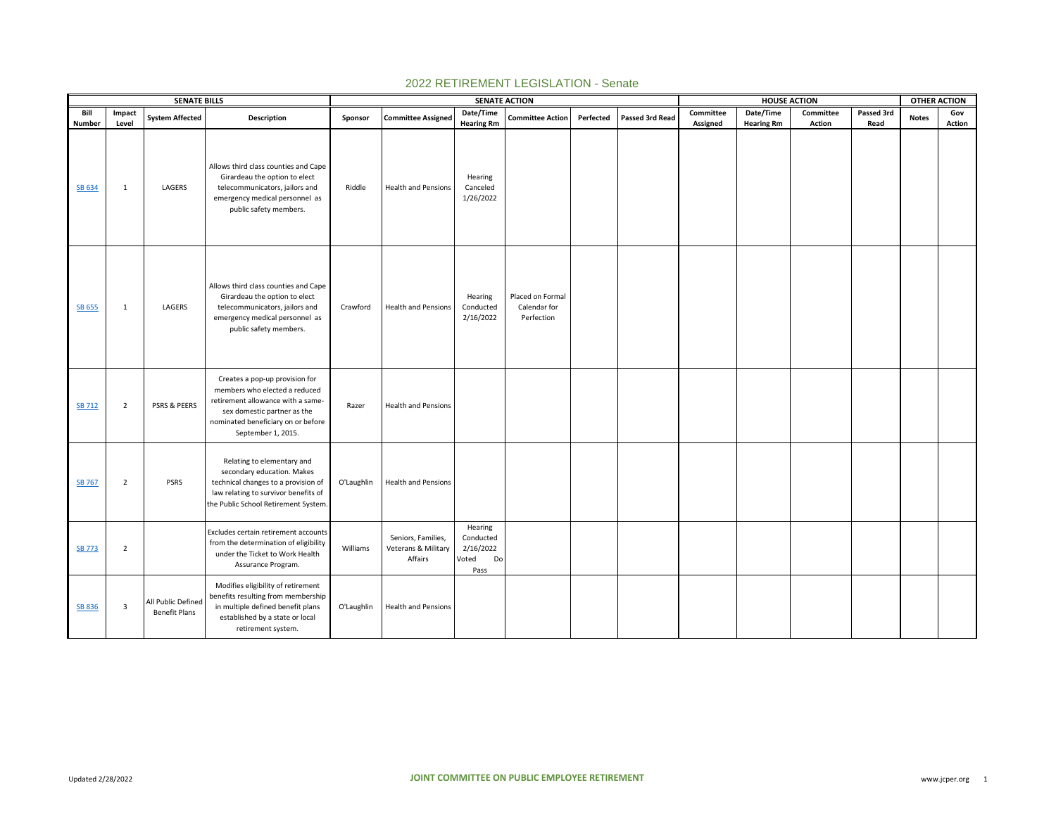|               |                | <b>SENATE BILLS</b>                        |                                                                                                                                                                                                 |            |                                                      | <b>SENATE ACTION</b>                                     |                                                |           |                 |           |                   | <b>HOUSE ACTION</b> |            | <b>OTHER ACTION</b> |        |
|---------------|----------------|--------------------------------------------|-------------------------------------------------------------------------------------------------------------------------------------------------------------------------------------------------|------------|------------------------------------------------------|----------------------------------------------------------|------------------------------------------------|-----------|-----------------|-----------|-------------------|---------------------|------------|---------------------|--------|
| Bill          | Impact         | <b>System Affected</b>                     | Description                                                                                                                                                                                     | Sponsor    | <b>Committee Assigned</b>                            | Date/Time                                                | <b>Committee Action</b>                        | Perfected | Passed 3rd Read | Committee | Date/Time         | Committee           | Passed 3rd | <b>Notes</b>        | Gov    |
| Number        | Level          |                                            |                                                                                                                                                                                                 |            |                                                      | <b>Hearing Rm</b>                                        |                                                |           |                 | Assigned  | <b>Hearing Rm</b> | <b>Action</b>       | Read       |                     | Action |
| SB 634        | 1              | LAGERS                                     | Allows third class counties and Cape<br>Girardeau the option to elect<br>telecommunicators, jailors and<br>emergency medical personnel as<br>public safety members.                             | Riddle     | <b>Health and Pensions</b>                           | Hearing<br>Canceled<br>1/26/2022                         |                                                |           |                 |           |                   |                     |            |                     |        |
| <b>SB 655</b> | 1              | LAGERS                                     | Allows third class counties and Cape<br>Girardeau the option to elect<br>telecommunicators, jailors and<br>emergency medical personnel as<br>public safety members.                             | Crawford   | <b>Health and Pensions</b>                           | Hearing<br>Conducted<br>2/16/2022                        | Placed on Formal<br>Calendar for<br>Perfection |           |                 |           |                   |                     |            |                     |        |
| <b>SB 712</b> | $\overline{2}$ | PSRS & PEERS                               | Creates a pop-up provision for<br>members who elected a reduced<br>retirement allowance with a same-<br>sex domestic partner as the<br>nominated beneficiary on or before<br>September 1, 2015. | Razer      | <b>Health and Pensions</b>                           |                                                          |                                                |           |                 |           |                   |                     |            |                     |        |
| <b>SB 767</b> | $\overline{2}$ | <b>PSRS</b>                                | Relating to elementary and<br>secondary education. Makes<br>technical changes to a provision of<br>law relating to survivor benefits of<br>the Public School Retirement System.                 | O'Laughlin | <b>Health and Pensions</b>                           |                                                          |                                                |           |                 |           |                   |                     |            |                     |        |
| <b>SB 773</b> | $\overline{2}$ |                                            | Excludes certain retirement accounts<br>from the determination of eligibility<br>under the Ticket to Work Health<br>Assurance Program.                                                          | Williams   | Seniors, Families,<br>Veterans & Military<br>Affairs | Hearing<br>Conducted<br>2/16/2022<br>Voted<br>Do<br>Pass |                                                |           |                 |           |                   |                     |            |                     |        |
| SB 836        | 3              | All Public Defined<br><b>Benefit Plans</b> | Modifies eligibility of retirement<br>benefits resulting from membership<br>in multiple defined benefit plans<br>established by a state or local<br>retirement system.                          | O'Laughlin | Health and Pensions                                  |                                                          |                                                |           |                 |           |                   |                     |            |                     |        |

## 2022 RETIREMENT LEGISLATION - Senate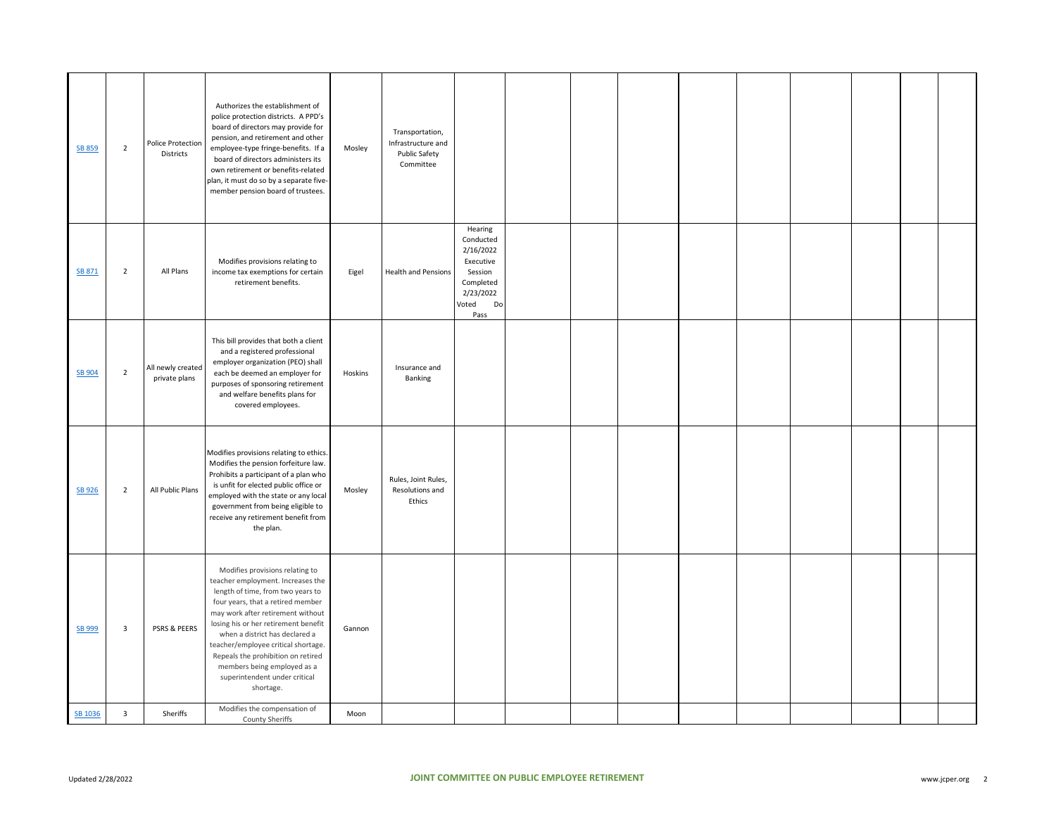| SB 859        | $\overline{2}$          | Police Protection<br><b>Districts</b> | Authorizes the establishment of<br>police protection districts. A PPD's<br>board of directors may provide for<br>pension, and retirement and other<br>employee-type fringe-benefits. If a<br>board of directors administers its<br>own retirement or benefits-related<br>plan, it must do so by a separate five-<br>member pension board of trustees.                                                                   | Mosley  | Transportation,<br>Infrastructure and<br>Public Safety<br>Committee |                                                                                                            |  |  |  |  |  |
|---------------|-------------------------|---------------------------------------|-------------------------------------------------------------------------------------------------------------------------------------------------------------------------------------------------------------------------------------------------------------------------------------------------------------------------------------------------------------------------------------------------------------------------|---------|---------------------------------------------------------------------|------------------------------------------------------------------------------------------------------------|--|--|--|--|--|
| SB 871        | $\mathbf 2$             | All Plans                             | Modifies provisions relating to<br>income tax exemptions for certain<br>retirement benefits.                                                                                                                                                                                                                                                                                                                            | Eigel   | <b>Health and Pensions</b>                                          | Hearing<br>Conducted<br>2/16/2022<br>Executive<br>Session<br>Completed<br>2/23/2022<br>Voted<br>Do<br>Pass |  |  |  |  |  |
| <b>SB 904</b> | $\overline{2}$          | All newly created<br>private plans    | This bill provides that both a client<br>and a registered professional<br>employer organization (PEO) shall<br>each be deemed an employer for<br>purposes of sponsoring retirement<br>and welfare benefits plans for<br>covered employees.                                                                                                                                                                              | Hoskins | Insurance and<br>Banking                                            |                                                                                                            |  |  |  |  |  |
| SB 926        | $\overline{2}$          | All Public Plans                      | Modifies provisions relating to ethics.<br>Modifies the pension forfeiture law.<br>Prohibits a participant of a plan who<br>is unfit for elected public office or<br>employed with the state or any local<br>government from being eligible to<br>receive any retirement benefit from<br>the plan.                                                                                                                      | Mosley  | Rules, Joint Rules,<br>Resolutions and<br>Ethics                    |                                                                                                            |  |  |  |  |  |
| SB 999        | $\overline{\mathbf{3}}$ | PSRS & PEERS                          | Modifies provisions relating to<br>teacher employment. Increases the<br>length of time, from two years to<br>four years, that a retired member<br>may work after retirement without<br>losing his or her retirement benefit<br>when a district has declared a<br>teacher/employee critical shortage.<br>Repeals the prohibition on retired<br>members being employed as a<br>superintendent under critical<br>shortage. | Gannon  |                                                                     |                                                                                                            |  |  |  |  |  |
| SB 1036       | $\overline{\mathbf{3}}$ | Sheriffs                              | Modifies the compensation of<br>County Sheriffs                                                                                                                                                                                                                                                                                                                                                                         | Moon    |                                                                     |                                                                                                            |  |  |  |  |  |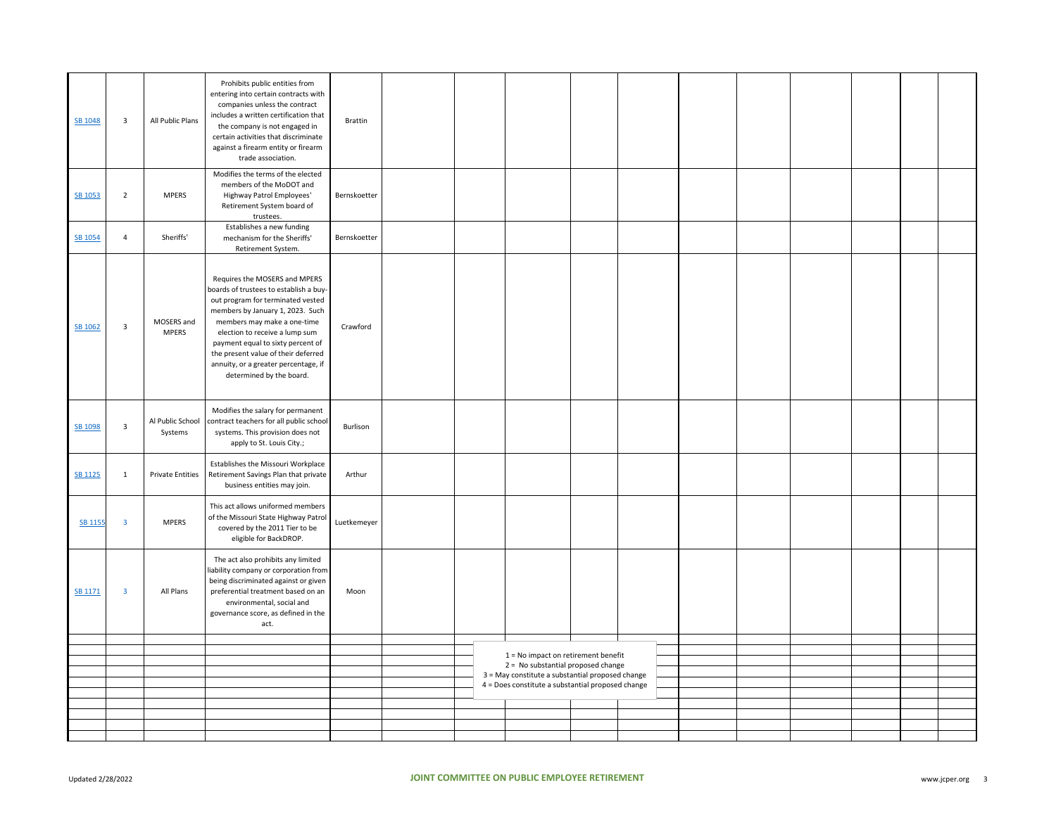| SB 1048        | $\overline{\mathbf{3}}$ | All Public Plans            | Prohibits public entities from<br>entering into certain contracts with<br>companies unless the contract<br>includes a written certification that<br>the company is not engaged in<br>certain activities that discriminate<br>against a firearm entity or firearm<br>trade association.                                                                            | Brattin      |  |                                                                                                       |  |  |  |  |
|----------------|-------------------------|-----------------------------|-------------------------------------------------------------------------------------------------------------------------------------------------------------------------------------------------------------------------------------------------------------------------------------------------------------------------------------------------------------------|--------------|--|-------------------------------------------------------------------------------------------------------|--|--|--|--|
| SB 1053        | $\overline{2}$          | <b>MPERS</b>                | Modifies the terms of the elected<br>members of the MoDOT and<br>Highway Patrol Employees'<br>Retirement System board of<br>trustees.                                                                                                                                                                                                                             | Bernskoetter |  |                                                                                                       |  |  |  |  |
| SB 1054        | $\overline{4}$          | Sheriffs'                   | Establishes a new funding<br>mechanism for the Sheriffs'<br>Retirement System.                                                                                                                                                                                                                                                                                    | Bernskoetter |  |                                                                                                       |  |  |  |  |
| SB 1062        | 3                       | MOSERS and<br><b>MPERS</b>  | Requires the MOSERS and MPERS<br>boards of trustees to establish a buy-<br>out program for terminated vested<br>members by January 1, 2023. Such<br>members may make a one-time<br>election to receive a lump sum<br>payment equal to sixty percent of<br>the present value of their deferred<br>annuity, or a greater percentage, if<br>determined by the board. | Crawford     |  |                                                                                                       |  |  |  |  |
| SB 1098        | $\overline{\mathbf{3}}$ | Al Public School<br>Systems | Modifies the salary for permanent<br>contract teachers for all public school<br>systems. This provision does not<br>apply to St. Louis City.;                                                                                                                                                                                                                     | Burlison     |  |                                                                                                       |  |  |  |  |
| <b>SB 1125</b> | $\mathbf{1}$            | <b>Private Entities</b>     | Establishes the Missouri Workplace<br>Retirement Savings Plan that private<br>business entities may join.                                                                                                                                                                                                                                                         | Arthur       |  |                                                                                                       |  |  |  |  |
| <b>SB 1155</b> | $\overline{\mathbf{3}}$ | <b>MPERS</b>                | This act allows uniformed members<br>of the Missouri State Highway Patrol<br>covered by the 2011 Tier to be<br>eligible for BackDROP.                                                                                                                                                                                                                             | Luetkemeyer  |  |                                                                                                       |  |  |  |  |
| SB 1171        | $\overline{\mathbf{3}}$ | All Plans                   | The act also prohibits any limited<br>liability company or corporation from<br>being discriminated against or given<br>preferential treatment based on an<br>environmental, social and<br>governance score, as defined in the<br>act.                                                                                                                             | Moon         |  |                                                                                                       |  |  |  |  |
|                |                         |                             |                                                                                                                                                                                                                                                                                                                                                                   |              |  |                                                                                                       |  |  |  |  |
|                |                         |                             |                                                                                                                                                                                                                                                                                                                                                                   |              |  | 1 = No impact on retirement benefit                                                                   |  |  |  |  |
|                |                         |                             |                                                                                                                                                                                                                                                                                                                                                                   |              |  | 2 = No substantial proposed change                                                                    |  |  |  |  |
|                |                         |                             |                                                                                                                                                                                                                                                                                                                                                                   |              |  | 3 = May constitute a substantial proposed change<br>4 = Does constitute a substantial proposed change |  |  |  |  |
|                |                         |                             |                                                                                                                                                                                                                                                                                                                                                                   |              |  |                                                                                                       |  |  |  |  |
|                |                         |                             |                                                                                                                                                                                                                                                                                                                                                                   |              |  |                                                                                                       |  |  |  |  |
|                |                         |                             |                                                                                                                                                                                                                                                                                                                                                                   |              |  |                                                                                                       |  |  |  |  |
|                |                         |                             |                                                                                                                                                                                                                                                                                                                                                                   |              |  |                                                                                                       |  |  |  |  |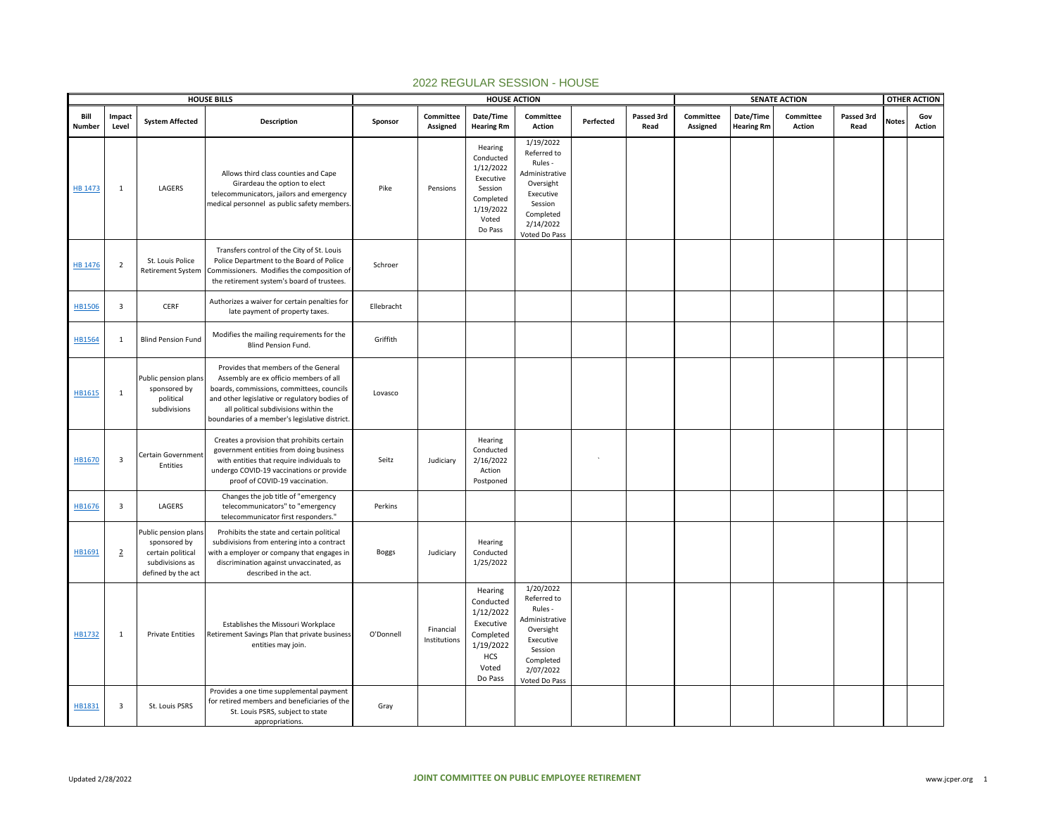|                | <b>HOUSE BILLS</b>      |                                                                                                    |                                                                                                                                                                                                                                                                         |              |                           | <b>HOUSE ACTION</b>                                                                                        |                                                                                                                                       | <b>SENATE ACTION</b> |                    |                       |                                |                     | <b>OTHER ACTION</b> |              |               |
|----------------|-------------------------|----------------------------------------------------------------------------------------------------|-------------------------------------------------------------------------------------------------------------------------------------------------------------------------------------------------------------------------------------------------------------------------|--------------|---------------------------|------------------------------------------------------------------------------------------------------------|---------------------------------------------------------------------------------------------------------------------------------------|----------------------|--------------------|-----------------------|--------------------------------|---------------------|---------------------|--------------|---------------|
| Bill<br>Number | Impact<br>Level         | <b>System Affected</b>                                                                             | <b>Description</b>                                                                                                                                                                                                                                                      | Sponsor      | Committee<br>Assigned     | Date/Time<br><b>Hearing Rm</b>                                                                             | Committee<br>Action                                                                                                                   | Perfected            | Passed 3rd<br>Read | Committee<br>Assigned | Date/Time<br><b>Hearing Rm</b> | Committee<br>Action | Passed 3rd<br>Read  | <b>Notes</b> | Gov<br>Action |
| <b>HB 1473</b> | 1                       | LAGERS                                                                                             | Allows third class counties and Cape<br>Girardeau the option to elect<br>telecommunicators, jailors and emergency<br>medical personnel as public safety members.                                                                                                        | Pike         | Pensions                  | Hearing<br>Conducted<br>1/12/2022<br>Executive<br>Session<br>Completed<br>1/19/2022<br>Voted<br>Do Pass    | 1/19/2022<br>Referred to<br>Rules -<br>Administrative<br>Oversight<br>Executive<br>Session<br>Completed<br>2/14/2022<br>Voted Do Pass |                      |                    |                       |                                |                     |                     |              |               |
| <b>HB 1476</b> | $\overline{2}$          | St. Louis Police<br>Retirement System                                                              | Transfers control of the City of St. Louis<br>Police Department to the Board of Police<br>Commissioners. Modifies the composition of<br>the retirement system's board of trustees.                                                                                      | Schroer      |                           |                                                                                                            |                                                                                                                                       |                      |                    |                       |                                |                     |                     |              |               |
| <b>HB1506</b>  | $\overline{\mathbf{3}}$ | CERF                                                                                               | Authorizes a waiver for certain penalties for<br>late payment of property taxes.                                                                                                                                                                                        | Ellebracht   |                           |                                                                                                            |                                                                                                                                       |                      |                    |                       |                                |                     |                     |              |               |
| HB1564         | 1                       | <b>Blind Pension Fund</b>                                                                          | Modifies the mailing requirements for the<br>Blind Pension Fund.                                                                                                                                                                                                        | Griffith     |                           |                                                                                                            |                                                                                                                                       |                      |                    |                       |                                |                     |                     |              |               |
| HB1615         | $\mathbf{1}$            | Public pension plans<br>sponsored by<br>political<br>subdivisions                                  | Provides that members of the General<br>Assembly are ex officio members of all<br>boards, commissions, committees, councils<br>and other legislative or regulatory bodies of<br>all political subdivisions within the<br>boundaries of a member's legislative district. | Lovasco      |                           |                                                                                                            |                                                                                                                                       |                      |                    |                       |                                |                     |                     |              |               |
| HB1670         | $\overline{\mathbf{3}}$ | Certain Government<br>Entities                                                                     | Creates a provision that prohibits certain<br>government entities from doing business<br>with entities that require individuals to<br>undergo COVID-19 vaccinations or provide<br>proof of COVID-19 vaccination.                                                        | Seitz        | Judiciary                 | Hearing<br>Conducted<br>2/16/2022<br>Action<br>Postponed                                                   |                                                                                                                                       |                      |                    |                       |                                |                     |                     |              |               |
| HB1676         | $\overline{\mathbf{3}}$ | LAGERS                                                                                             | Changes the job title of "emergency<br>telecommunicators" to "emergency<br>telecommunicator first responders."                                                                                                                                                          | Perkins      |                           |                                                                                                            |                                                                                                                                       |                      |                    |                       |                                |                     |                     |              |               |
| HB1691         | $\overline{2}$          | Public pension plans<br>sponsored by<br>certain political<br>subdivisions as<br>defined by the act | Prohibits the state and certain political<br>subdivisions from entering into a contract<br>with a employer or company that engages in<br>discrimination against unvaccinated, as<br>described in the act.                                                               | <b>Boggs</b> | Judiciary                 | Hearing<br>Conducted<br>1/25/2022                                                                          |                                                                                                                                       |                      |                    |                       |                                |                     |                     |              |               |
| HB1732         | 1                       | <b>Private Entities</b>                                                                            | Establishes the Missouri Workplace<br>Retirement Savings Plan that private business<br>entities may join.                                                                                                                                                               | O'Donnell    | Financial<br>Institutions | Hearing<br>Conducted<br>1/12/2022<br>Executive<br>Completed<br>1/19/2022<br><b>HCS</b><br>Voted<br>Do Pass | 1/20/2022<br>Referred to<br>Rules -<br>Administrative<br>Oversight<br>Executive<br>Session<br>Completed<br>2/07/2022<br>Voted Do Pass |                      |                    |                       |                                |                     |                     |              |               |
| HB1831         | $\overline{\mathbf{3}}$ | St. Louis PSRS                                                                                     | Provides a one time supplemental payment<br>for retired members and beneficiaries of the<br>St. Louis PSRS, subject to state<br>appropriations.                                                                                                                         | Gray         |                           |                                                                                                            |                                                                                                                                       |                      |                    |                       |                                |                     |                     |              |               |

## 2022 REGULAR SESSION - HOUSE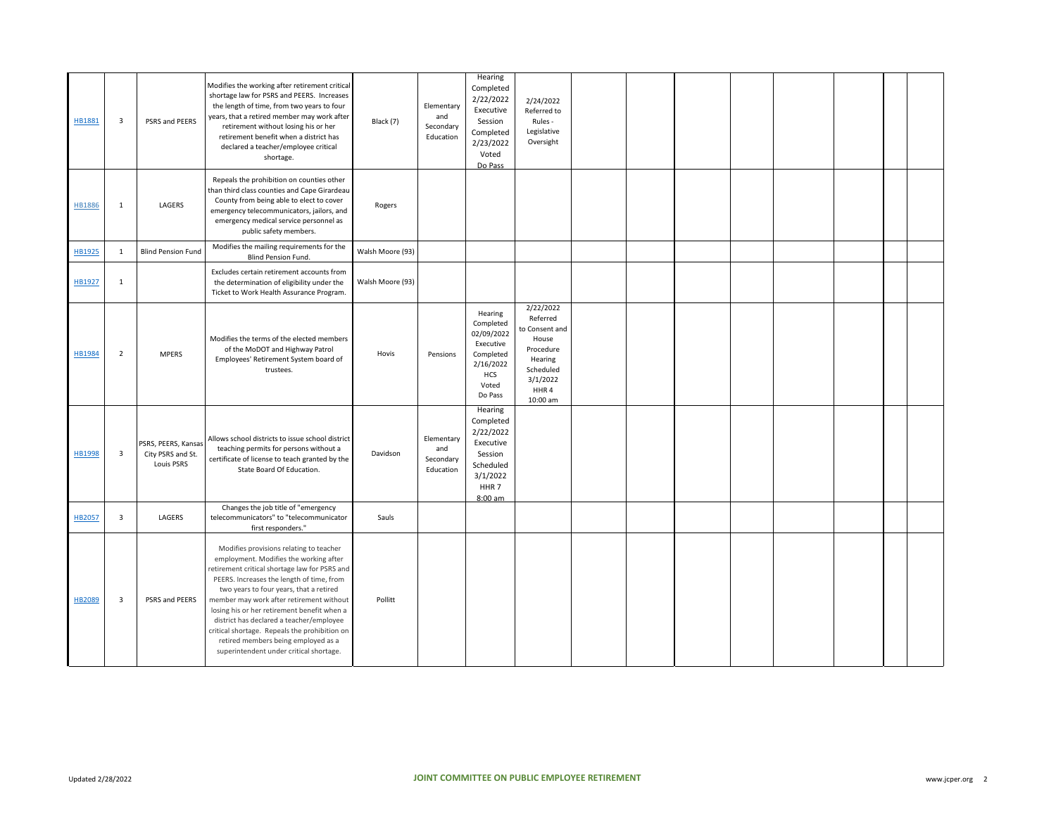| HB1881        | $\overline{\mathbf{3}}$ | PSRS and PEERS                                                | Modifies the working after retirement critical<br>shortage law for PSRS and PEERS. Increases<br>the length of time, from two years to four<br>years, that a retired member may work after<br>retirement without losing his or her<br>retirement benefit when a district has<br>declared a teacher/employee critical<br>shortage.                                                                                                                                                                     | Black (7)        | Elementary<br>and<br>Secondary<br>Education | Hearing<br>Completed<br>2/22/2022<br>Executive<br>Session<br>Completed<br>2/23/2022<br>Voted<br>Do Pass           | 2/24/2022<br>Referred to<br>Rules -<br>Legislative<br>Oversight                                                       |  |  |  |  |
|---------------|-------------------------|---------------------------------------------------------------|------------------------------------------------------------------------------------------------------------------------------------------------------------------------------------------------------------------------------------------------------------------------------------------------------------------------------------------------------------------------------------------------------------------------------------------------------------------------------------------------------|------------------|---------------------------------------------|-------------------------------------------------------------------------------------------------------------------|-----------------------------------------------------------------------------------------------------------------------|--|--|--|--|
| <b>HB1886</b> | 1                       | LAGERS                                                        | Repeals the prohibition on counties other<br>than third class counties and Cape Girardeau<br>County from being able to elect to cover<br>emergency telecommunicators, jailors, and<br>emergency medical service personnel as<br>public safety members.                                                                                                                                                                                                                                               | Rogers           |                                             |                                                                                                                   |                                                                                                                       |  |  |  |  |
| HB1925        | $\mathbf{1}$            | <b>Blind Pension Fund</b>                                     | Modifies the mailing requirements for the<br><b>Blind Pension Fund.</b>                                                                                                                                                                                                                                                                                                                                                                                                                              | Walsh Moore (93) |                                             |                                                                                                                   |                                                                                                                       |  |  |  |  |
| HB1927        | $\mathbf{1}$            |                                                               | Excludes certain retirement accounts from<br>the determination of eligibility under the<br>Ticket to Work Health Assurance Program.                                                                                                                                                                                                                                                                                                                                                                  | Walsh Moore (93) |                                             |                                                                                                                   |                                                                                                                       |  |  |  |  |
| <b>HB1984</b> | $\overline{2}$          | <b>MPERS</b>                                                  | Modifies the terms of the elected members<br>of the MoDOT and Highway Patrol<br>Employees' Retirement System board of<br>trustees.                                                                                                                                                                                                                                                                                                                                                                   | Hovis            | Pensions                                    | Hearing<br>Completed<br>02/09/2022<br>Executive<br>Completed<br>2/16/2022<br><b>HCS</b><br>Voted<br>Do Pass       | 2/22/2022<br>Referred<br>to Consent and<br>House<br>Procedure<br>Hearing<br>Scheduled<br>3/1/2022<br>HHR4<br>10:00 am |  |  |  |  |
| <b>HB1998</b> | $\overline{\mathbf{3}}$ | PSRS, PEERS, Kansas<br>City PSRS and St.<br><b>Louis PSRS</b> | Allows school districts to issue school district<br>teaching permits for persons without a<br>certificate of license to teach granted by the<br>State Board Of Education.                                                                                                                                                                                                                                                                                                                            | Davidson         | Elementary<br>and<br>Secondary<br>Education | Hearing<br>Completed<br>2/22/2022<br>Executive<br>Session<br>Scheduled<br>3/1/2022<br>HHR <sub>7</sub><br>8:00 am |                                                                                                                       |  |  |  |  |
| HB2057        | $\overline{\mathbf{3}}$ | LAGERS                                                        | Changes the job title of "emergency<br>telecommunicators" to "telecommunicator<br>first responders."                                                                                                                                                                                                                                                                                                                                                                                                 | Sauls            |                                             |                                                                                                                   |                                                                                                                       |  |  |  |  |
| HB2089        | $\overline{\mathbf{3}}$ | PSRS and PEERS                                                | Modifies provisions relating to teacher<br>employment. Modifies the working after<br>retirement critical shortage law for PSRS and<br>PEERS. Increases the length of time, from<br>two years to four years, that a retired<br>member may work after retirement without<br>losing his or her retirement benefit when a<br>district has declared a teacher/employee<br>critical shortage. Repeals the prohibition on<br>retired members being employed as a<br>superintendent under critical shortage. | Pollitt          |                                             |                                                                                                                   |                                                                                                                       |  |  |  |  |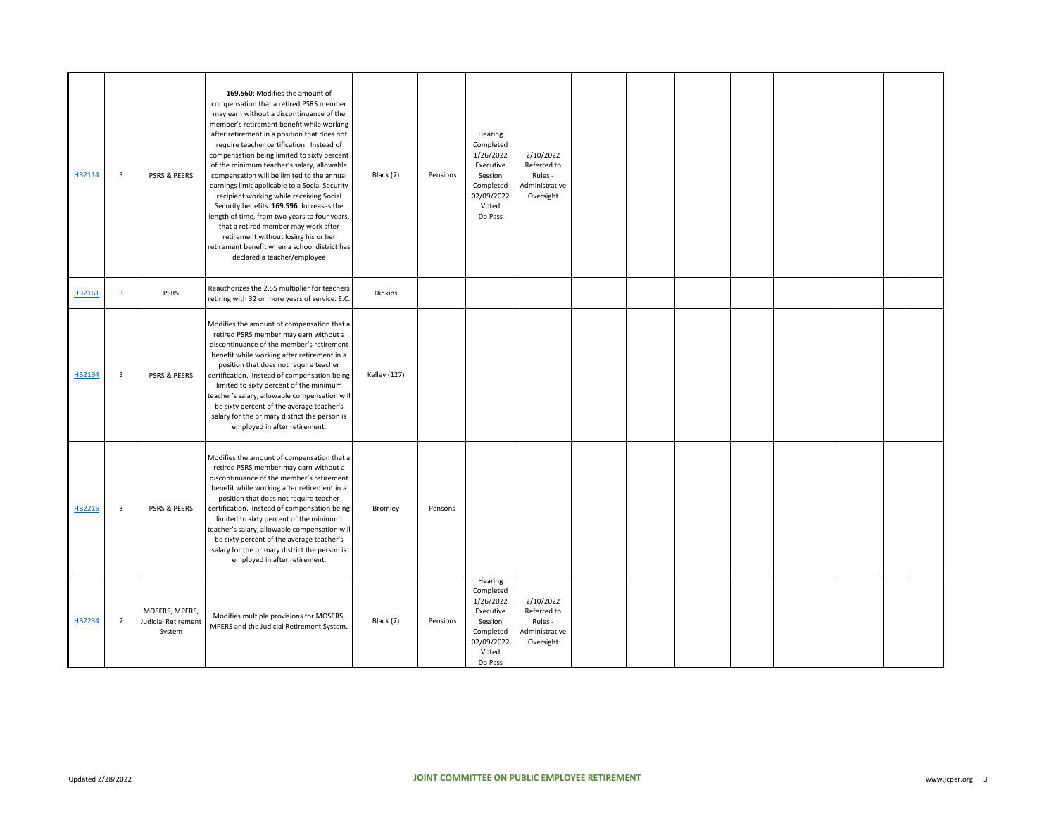| HB2114 | 3                       | PSRS & PEERS                                           | 169.560: Modifies the amount of<br>compensation that a retired PSRS member<br>may earn without a discontinuance of the<br>member's retirement benefit while working<br>after retirement in a position that does not<br>require teacher certification. Instead of<br>compensation being limited to sixty percent<br>of the minimum teacher's salary, allowable<br>compensation will be limited to the annual<br>earnings limit applicable to a Social Security<br>recipient working while receiving Social<br>Security benefits. 169.596: Increases the<br>length of time, from two years to four years,<br>that a retired member may work after<br>retirement without losing his or her<br>retirement benefit when a school district has<br>declared a teacher/employee | Black (7)           | Pensions | Hearing<br>Completed<br>1/26/2022<br>Executive<br>Session<br>Completed<br>02/09/2022<br>Voted<br>Do Pass | 2/10/2022<br>Referred to<br>Rules -<br>Administrative<br>Oversight |  |  |  |  |
|--------|-------------------------|--------------------------------------------------------|-------------------------------------------------------------------------------------------------------------------------------------------------------------------------------------------------------------------------------------------------------------------------------------------------------------------------------------------------------------------------------------------------------------------------------------------------------------------------------------------------------------------------------------------------------------------------------------------------------------------------------------------------------------------------------------------------------------------------------------------------------------------------|---------------------|----------|----------------------------------------------------------------------------------------------------------|--------------------------------------------------------------------|--|--|--|--|
| HB2161 | 3                       | PSRS                                                   | Reauthorizes the 2.55 multiplier for teachers<br>retiring with 32 or more years of service. E.C.                                                                                                                                                                                                                                                                                                                                                                                                                                                                                                                                                                                                                                                                        | Dinkins             |          |                                                                                                          |                                                                    |  |  |  |  |
| HB2194 | 3                       | PSRS & PEERS                                           | Modifies the amount of compensation that a<br>retired PSRS member may earn without a<br>discontinuance of the member's retirement<br>benefit while working after retirement in a<br>position that does not require teacher<br>certification. Instead of compensation being<br>limited to sixty percent of the minimum<br>teacher's salary, allowable compensation will<br>be sixty percent of the average teacher's<br>salary for the primary district the person is<br>employed in after retirement.                                                                                                                                                                                                                                                                   | <b>Kelley (127)</b> |          |                                                                                                          |                                                                    |  |  |  |  |
| HB2216 | $\overline{\mathbf{3}}$ | PSRS & PEERS                                           | Modifies the amount of compensation that a<br>retired PSRS member may earn without a<br>discontinuance of the member's retirement<br>benefit while working after retirement in a<br>position that does not require teacher<br>certification. Instead of compensation being<br>limited to sixty percent of the minimum<br>teacher's salary, allowable compensation will<br>be sixty percent of the average teacher's<br>salary for the primary district the person is<br>employed in after retirement.                                                                                                                                                                                                                                                                   | Bromley             | Pensons  |                                                                                                          |                                                                    |  |  |  |  |
| HB2234 | $\overline{2}$          | MOSERS, MPERS,<br><b>Judicial Retirement</b><br>System | Modifies multiple provisions for MOSERS,<br>MPERS and the Judicial Retirement System.                                                                                                                                                                                                                                                                                                                                                                                                                                                                                                                                                                                                                                                                                   | Black (7)           | Pensions | Hearing<br>Completed<br>1/26/2022<br>Executive<br>Session<br>Completed<br>02/09/2022<br>Voted<br>Do Pass | 2/10/2022<br>Referred to<br>Rules -<br>Administrative<br>Oversight |  |  |  |  |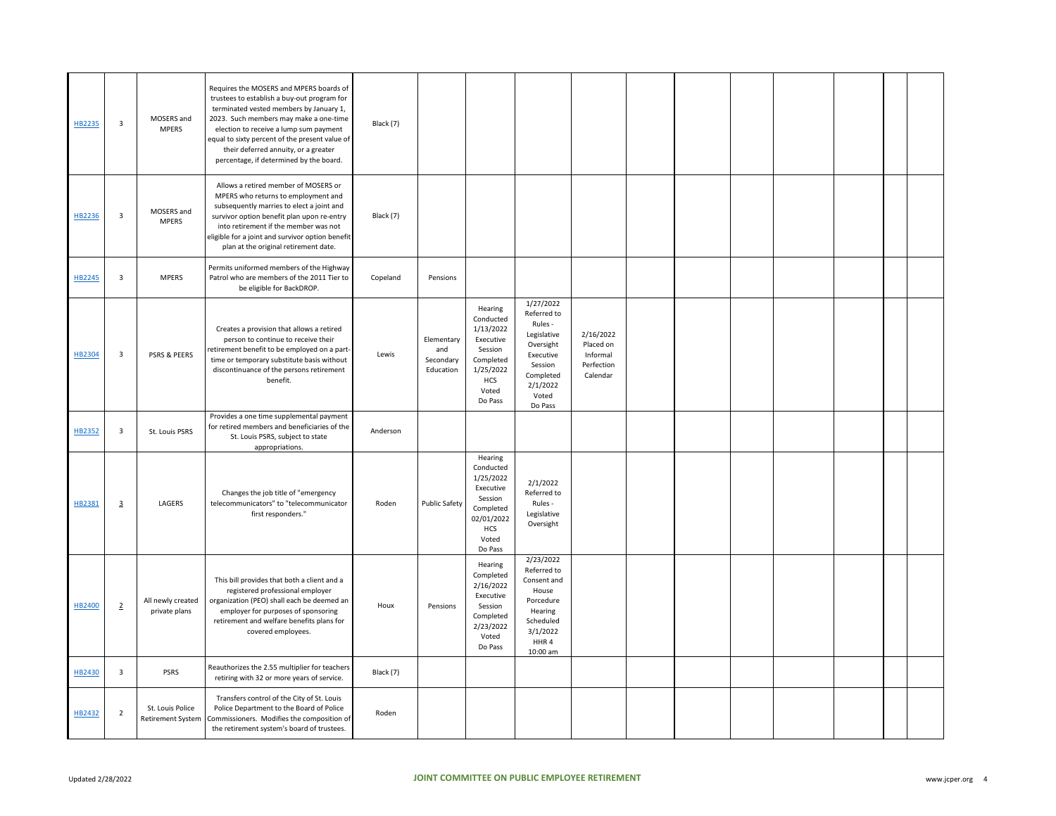| HB2235 | $\overline{\mathbf{3}}$ | MOSERS and<br><b>MPERS</b>                   | Requires the MOSERS and MPERS boards of<br>trustees to establish a buy-out program for<br>terminated vested members by January 1,<br>2023. Such members may make a one-time<br>election to receive a lump sum payment<br>equal to sixty percent of the present value of<br>their deferred annuity, or a greater<br>percentage, if determined by the board. | Black (7) |                                             |                                                                                                                        |                                                                                                                                      |                                                              |  |  |  |  |
|--------|-------------------------|----------------------------------------------|------------------------------------------------------------------------------------------------------------------------------------------------------------------------------------------------------------------------------------------------------------------------------------------------------------------------------------------------------------|-----------|---------------------------------------------|------------------------------------------------------------------------------------------------------------------------|--------------------------------------------------------------------------------------------------------------------------------------|--------------------------------------------------------------|--|--|--|--|
| HB2236 | $\overline{\mathbf{3}}$ | MOSERS and<br><b>MPERS</b>                   | Allows a retired member of MOSERS or<br>MPERS who returns to employment and<br>subsequently marries to elect a joint and<br>survivor option benefit plan upon re-entry<br>into retirement if the member was not<br>eligible for a joint and survivor option benefit<br>plan at the original retirement date.                                               | Black (7) |                                             |                                                                                                                        |                                                                                                                                      |                                                              |  |  |  |  |
| HB2245 | $\overline{\mathbf{3}}$ | <b>MPERS</b>                                 | Permits uniformed members of the Highway<br>Patrol who are members of the 2011 Tier to<br>be eligible for BackDROP.                                                                                                                                                                                                                                        | Copeland  | Pensions                                    |                                                                                                                        |                                                                                                                                      |                                                              |  |  |  |  |
| HB2304 | 3                       | <b>PSRS &amp; PEERS</b>                      | Creates a provision that allows a retired<br>person to continue to receive their<br>retirement benefit to be employed on a part-<br>time or temporary substitute basis without<br>discontinuance of the persons retirement<br>benefit.                                                                                                                     | Lewis     | Elementary<br>and<br>Secondary<br>Education | Hearing<br>Conducted<br>1/13/2022<br>Executive<br>Session<br>Completed<br>1/25/2022<br><b>HCS</b><br>Voted<br>Do Pass  | 1/27/2022<br>Referred to<br>Rules -<br>Legislative<br>Oversight<br>Executive<br>Session<br>Completed<br>2/1/2022<br>Voted<br>Do Pass | 2/16/2022<br>Placed on<br>Informal<br>Perfection<br>Calendar |  |  |  |  |
| HB2352 | $\overline{\mathbf{3}}$ | St. Louis PSRS                               | Provides a one time supplemental payment<br>for retired members and beneficiaries of the<br>St. Louis PSRS, subject to state<br>appropriations.                                                                                                                                                                                                            | Anderson  |                                             |                                                                                                                        |                                                                                                                                      |                                                              |  |  |  |  |
| HB2381 | $\overline{3}$          | LAGERS                                       | Changes the job title of "emergency<br>telecommunicators" to "telecommunicator<br>first responders."                                                                                                                                                                                                                                                       | Roden     | Public Safety                               | Hearing<br>Conducted<br>1/25/2022<br>Executive<br>Session<br>Completed<br>02/01/2022<br><b>HCS</b><br>Voted<br>Do Pass | 2/1/2022<br>Referred to<br>Rules -<br>Legislative<br>Oversight                                                                       |                                                              |  |  |  |  |
| HB2400 | $\overline{2}$          | All newly created<br>private plans           | This bill provides that both a client and a<br>registered professional employer<br>organization (PEO) shall each be deemed an<br>employer for purposes of sponsoring<br>retirement and welfare benefits plans for<br>covered employees.                                                                                                                    | Houx      | Pensions                                    | Hearing<br>Completed<br>2/16/2022<br>Executive<br>Session<br>Completed<br>2/23/2022<br>Voted<br>Do Pass                | 2/23/2022<br>Referred to<br>Consent and<br>House<br>Porcedure<br>Hearing<br>Scheduled<br>3/1/2022<br>HHR4<br>10:00 am                |                                                              |  |  |  |  |
| HB2430 | $\overline{\mathbf{3}}$ | PSRS                                         | Reauthorizes the 2.55 multiplier for teachers<br>retiring with 32 or more years of service.                                                                                                                                                                                                                                                                | Black (7) |                                             |                                                                                                                        |                                                                                                                                      |                                                              |  |  |  |  |
| HB2432 | $\overline{2}$          | St. Louis Police<br><b>Retirement System</b> | Transfers control of the City of St. Louis<br>Police Department to the Board of Police<br>Commissioners. Modifies the composition of<br>the retirement system's board of trustees.                                                                                                                                                                         | Roden     |                                             |                                                                                                                        |                                                                                                                                      |                                                              |  |  |  |  |